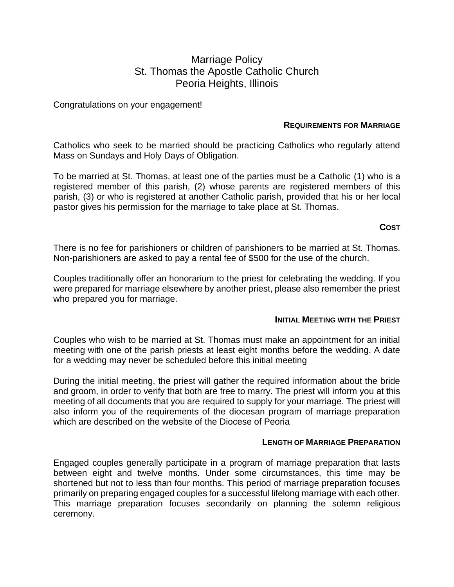# Marriage Policy St. Thomas the Apostle Catholic Church Peoria Heights, Illinois

Congratulations on your engagement!

### **REQUIREMENTS FOR MARRIAGE**

Catholics who seek to be married should be practicing Catholics who regularly attend Mass on Sundays and Holy Days of Obligation.

To be married at St. Thomas, at least one of the parties must be a Catholic (1) who is a registered member of this parish, (2) whose parents are registered members of this parish, (3) or who is registered at another Catholic parish, provided that his or her local pastor gives his permission for the marriage to take place at St. Thomas.

# **COST**

There is no fee for parishioners or children of parishioners to be married at St. Thomas. Non-parishioners are asked to pay a rental fee of \$500 for the use of the church.

Couples traditionally offer an honorarium to the priest for celebrating the wedding. If you were prepared for marriage elsewhere by another priest, please also remember the priest who prepared you for marriage.

#### **INITIAL MEETING WITH THE PRIEST**

Couples who wish to be married at St. Thomas must make an appointment for an initial meeting with one of the parish priests at least eight months before the wedding. A date for a wedding may never be scheduled before this initial meeting

During the initial meeting, the priest will gather the required information about the bride and groom, in order to verify that both are free to marry. The priest will inform you at this meeting of all documents that you are required to supply for your marriage. The priest will also inform you of the requirements of the diocesan program of marriage preparation which are described on the website of the Diocese of Peoria

#### **LENGTH OF MARRIAGE PREPARATION**

Engaged couples generally participate in a program of marriage preparation that lasts between eight and twelve months. Under some circumstances, this time may be shortened but not to less than four months. This period of marriage preparation focuses primarily on preparing engaged couples for a successful lifelong marriage with each other. This marriage preparation focuses secondarily on planning the solemn religious ceremony.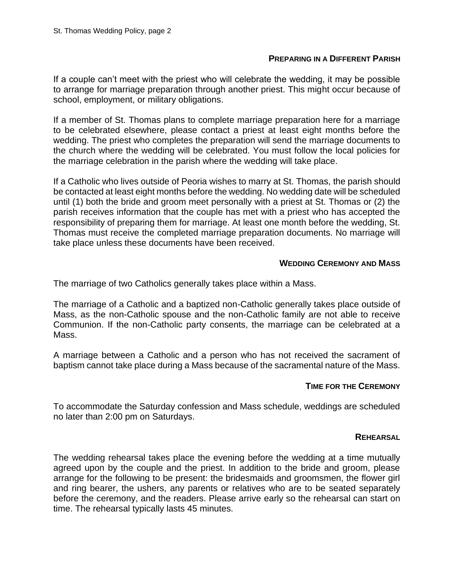#### **PREPARING IN A DIFFERENT PARISH**

If a couple can't meet with the priest who will celebrate the wedding, it may be possible to arrange for marriage preparation through another priest. This might occur because of school, employment, or military obligations.

If a member of St. Thomas plans to complete marriage preparation here for a marriage to be celebrated elsewhere, please contact a priest at least eight months before the wedding. The priest who completes the preparation will send the marriage documents to the church where the wedding will be celebrated. You must follow the local policies for the marriage celebration in the parish where the wedding will take place.

If a Catholic who lives outside of Peoria wishes to marry at St. Thomas, the parish should be contacted at least eight months before the wedding. No wedding date will be scheduled until (1) both the bride and groom meet personally with a priest at St. Thomas or (2) the parish receives information that the couple has met with a priest who has accepted the responsibility of preparing them for marriage. At least one month before the wedding, St. Thomas must receive the completed marriage preparation documents. No marriage will take place unless these documents have been received.

### **WEDDING CEREMONY AND MASS**

The marriage of two Catholics generally takes place within a Mass.

The marriage of a Catholic and a baptized non-Catholic generally takes place outside of Mass, as the non-Catholic spouse and the non-Catholic family are not able to receive Communion. If the non-Catholic party consents, the marriage can be celebrated at a Mass.

A marriage between a Catholic and a person who has not received the sacrament of baptism cannot take place during a Mass because of the sacramental nature of the Mass.

#### **TIME FOR THE CEREMONY**

To accommodate the Saturday confession and Mass schedule, weddings are scheduled no later than 2:00 pm on Saturdays.

#### **REHEARSAL**

The wedding rehearsal takes place the evening before the wedding at a time mutually agreed upon by the couple and the priest. In addition to the bride and groom, please arrange for the following to be present: the bridesmaids and groomsmen, the flower girl and ring bearer, the ushers, any parents or relatives who are to be seated separately before the ceremony, and the readers. Please arrive early so the rehearsal can start on time. The rehearsal typically lasts 45 minutes.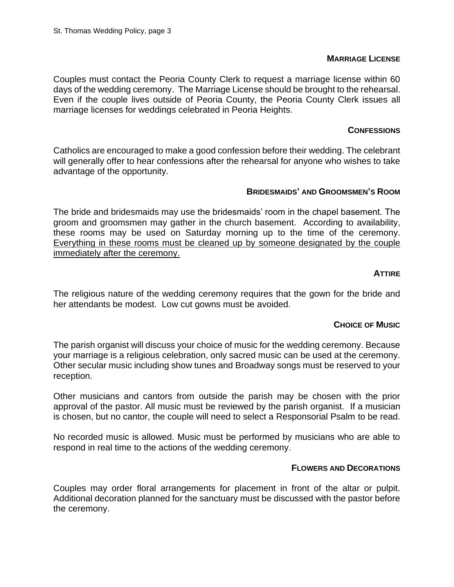## **MARRIAGE LICENSE**

Couples must contact the Peoria County Clerk to request a marriage license within 60 days of the wedding ceremony. The Marriage License should be brought to the rehearsal. Even if the couple lives outside of Peoria County, the Peoria County Clerk issues all marriage licenses for weddings celebrated in Peoria Heights.

# **CONFESSIONS**

Catholics are encouraged to make a good confession before their wedding. The celebrant will generally offer to hear confessions after the rehearsal for anyone who wishes to take advantage of the opportunity.

# **BRIDESMAIDS' AND GROOMSMEN'S ROOM**

The bride and bridesmaids may use the bridesmaids' room in the chapel basement. The groom and groomsmen may gather in the church basement. According to availability, these rooms may be used on Saturday morning up to the time of the ceremony. Everything in these rooms must be cleaned up by someone designated by the couple immediately after the ceremony.

### **ATTIRE**

The religious nature of the wedding ceremony requires that the gown for the bride and her attendants be modest. Low cut gowns must be avoided.

# **CHOICE OF MUSIC**

The parish organist will discuss your choice of music for the wedding ceremony. Because your marriage is a religious celebration, only sacred music can be used at the ceremony. Other secular music including show tunes and Broadway songs must be reserved to your reception.

Other musicians and cantors from outside the parish may be chosen with the prior approval of the pastor. All music must be reviewed by the parish organist. If a musician is chosen, but no cantor, the couple will need to select a Responsorial Psalm to be read.

No recorded music is allowed. Music must be performed by musicians who are able to respond in real time to the actions of the wedding ceremony.

#### **FLOWERS AND DECORATIONS**

Couples may order floral arrangements for placement in front of the altar or pulpit. Additional decoration planned for the sanctuary must be discussed with the pastor before the ceremony.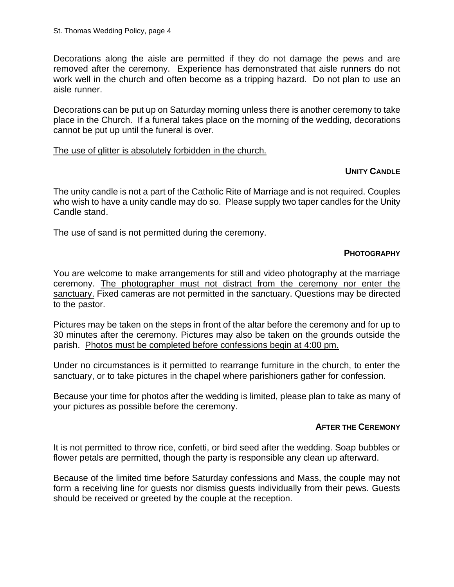Decorations along the aisle are permitted if they do not damage the pews and are removed after the ceremony. Experience has demonstrated that aisle runners do not work well in the church and often become as a tripping hazard. Do not plan to use an aisle runner.

Decorations can be put up on Saturday morning unless there is another ceremony to take place in the Church. If a funeral takes place on the morning of the wedding, decorations cannot be put up until the funeral is over.

### The use of glitter is absolutely forbidden in the church.

# **UNITY CANDLE**

The unity candle is not a part of the Catholic Rite of Marriage and is not required. Couples who wish to have a unity candle may do so. Please supply two taper candles for the Unity Candle stand.

The use of sand is not permitted during the ceremony.

# **PHOTOGRAPHY**

You are welcome to make arrangements for still and video photography at the marriage ceremony. The photographer must not distract from the ceremony nor enter the sanctuary. Fixed cameras are not permitted in the sanctuary. Questions may be directed to the pastor.

Pictures may be taken on the steps in front of the altar before the ceremony and for up to 30 minutes after the ceremony. Pictures may also be taken on the grounds outside the parish. Photos must be completed before confessions begin at 4:00 pm.

Under no circumstances is it permitted to rearrange furniture in the church, to enter the sanctuary, or to take pictures in the chapel where parishioners gather for confession.

Because your time for photos after the wedding is limited, please plan to take as many of your pictures as possible before the ceremony.

#### **AFTER THE CEREMONY**

It is not permitted to throw rice, confetti, or bird seed after the wedding. Soap bubbles or flower petals are permitted, though the party is responsible any clean up afterward.

Because of the limited time before Saturday confessions and Mass, the couple may not form a receiving line for guests nor dismiss guests individually from their pews. Guests should be received or greeted by the couple at the reception.